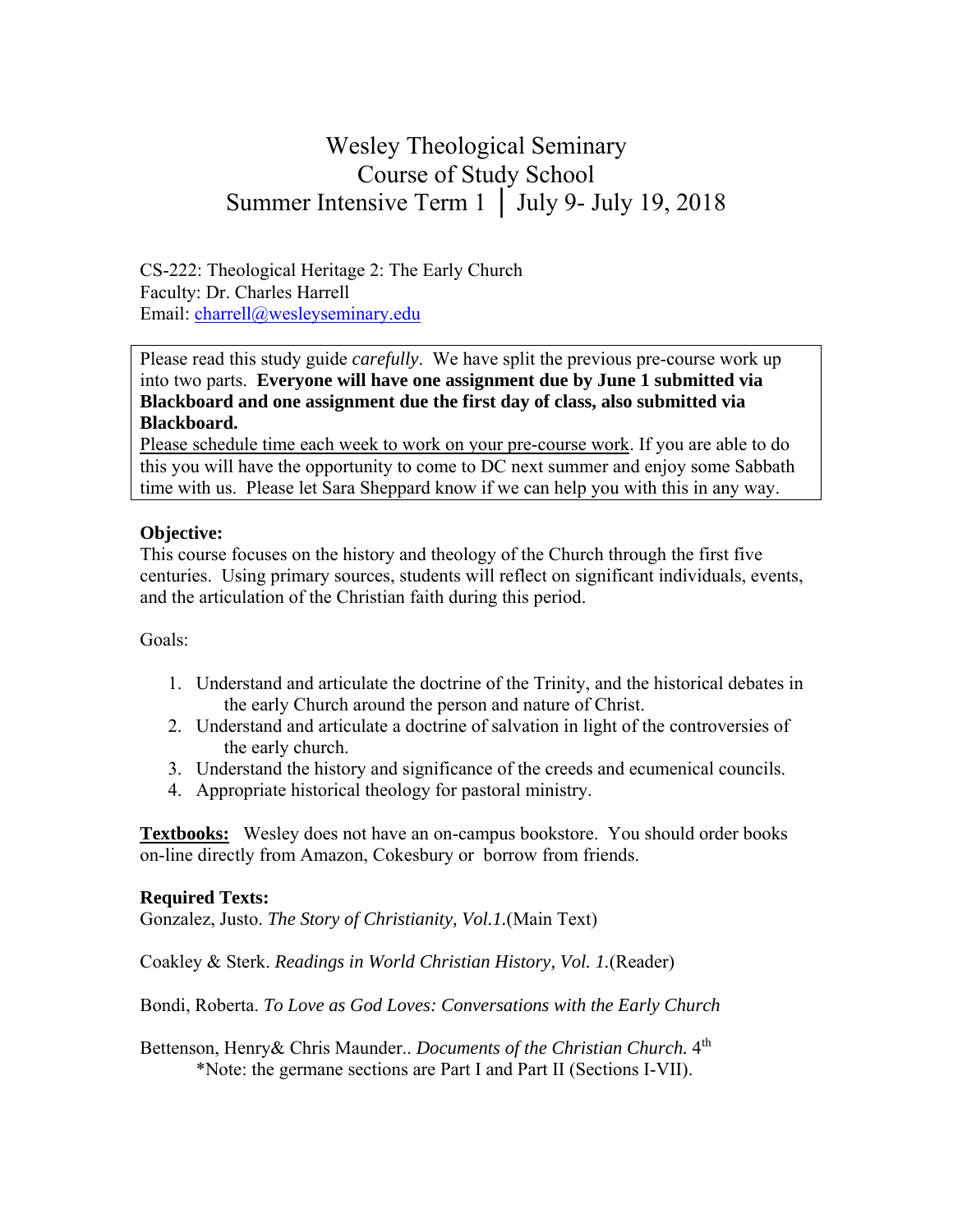# Wesley Theological Seminary Course of Study School Summer Intensive Term 1 │ July 9- July 19, 2018

CS-222: Theological Heritage 2: The Early Church Faculty: Dr. Charles Harrell Email: charrell@wesleyseminary.edu

Please read this study guide *carefully*. We have split the previous pre-course work up into two parts. **Everyone will have one assignment due by June 1 submitted via Blackboard and one assignment due the first day of class, also submitted via Blackboard.** 

Please schedule time each week to work on your pre-course work. If you are able to do this you will have the opportunity to come to DC next summer and enjoy some Sabbath time with us. Please let Sara Sheppard know if we can help you with this in any way.

#### **Objective:**

This course focuses on the history and theology of the Church through the first five centuries. Using primary sources, students will reflect on significant individuals, events, and the articulation of the Christian faith during this period.

#### Goals:

- 1. Understand and articulate the doctrine of the Trinity, and the historical debates in the early Church around the person and nature of Christ.
- 2. Understand and articulate a doctrine of salvation in light of the controversies of the early church.
- 3. Understand the history and significance of the creeds and ecumenical councils.
- 4. Appropriate historical theology for pastoral ministry.

**Textbooks:** Wesley does not have an on-campus bookstore. You should order books on-line directly from Amazon, Cokesbury or borrow from friends.

#### **Required Texts:**

Gonzalez, Justo. *The Story of Christianity, Vol.1.*(Main Text)

Coakley & Sterk. *Readings in World Christian History, Vol. 1.*(Reader)

Bondi, Roberta. *To Love as God Loves: Conversations with the Early Church* 

Bettenson, Henry & Chris Maunder.. *Documents of the Christian Church*. 4<sup>th</sup> \*Note: the germane sections are Part I and Part II (Sections I-VII).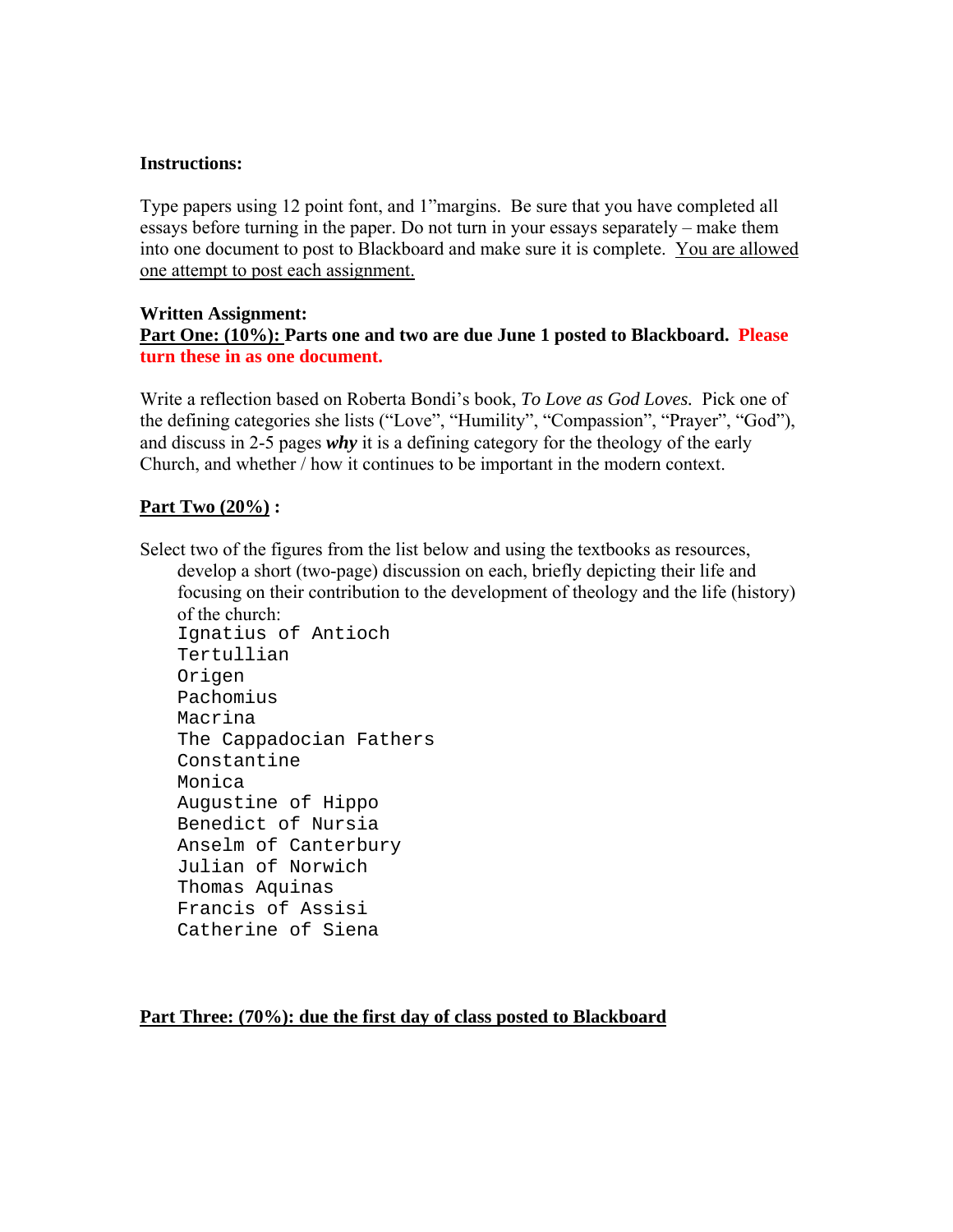#### **Instructions:**

Type papers using 12 point font, and 1"margins. Be sure that you have completed all essays before turning in the paper. Do not turn in your essays separately – make them into one document to post to Blackboard and make sure it is complete. You are allowed one attempt to post each assignment.

#### **Written Assignment:**

**Part One: (10%): Parts one and two are due June 1 posted to Blackboard. Please turn these in as one document.** 

Write a reflection based on Roberta Bondi's book, *To Love as God Loves.* Pick one of the defining categories she lists ("Love", "Humility", "Compassion", "Prayer", "God"), and discuss in 2-5 pages *why* it is a defining category for the theology of the early Church, and whether / how it continues to be important in the modern context.

#### **Part Two (20%) :**

Select two of the figures from the list below and using the textbooks as resources, develop a short (two-page) discussion on each, briefly depicting their life and focusing on their contribution to the development of theology and the life (history)

of the church: Ignatius of Antioch Tertullian Origen Pachomius Macrina The Cappadocian Fathers Constantine Monica Augustine of Hippo Benedict of Nursia Anselm of Canterbury Julian of Norwich Thomas Aquinas Francis of Assisi Catherine of Siena

#### **Part Three: (70%): due the first day of class posted to Blackboard**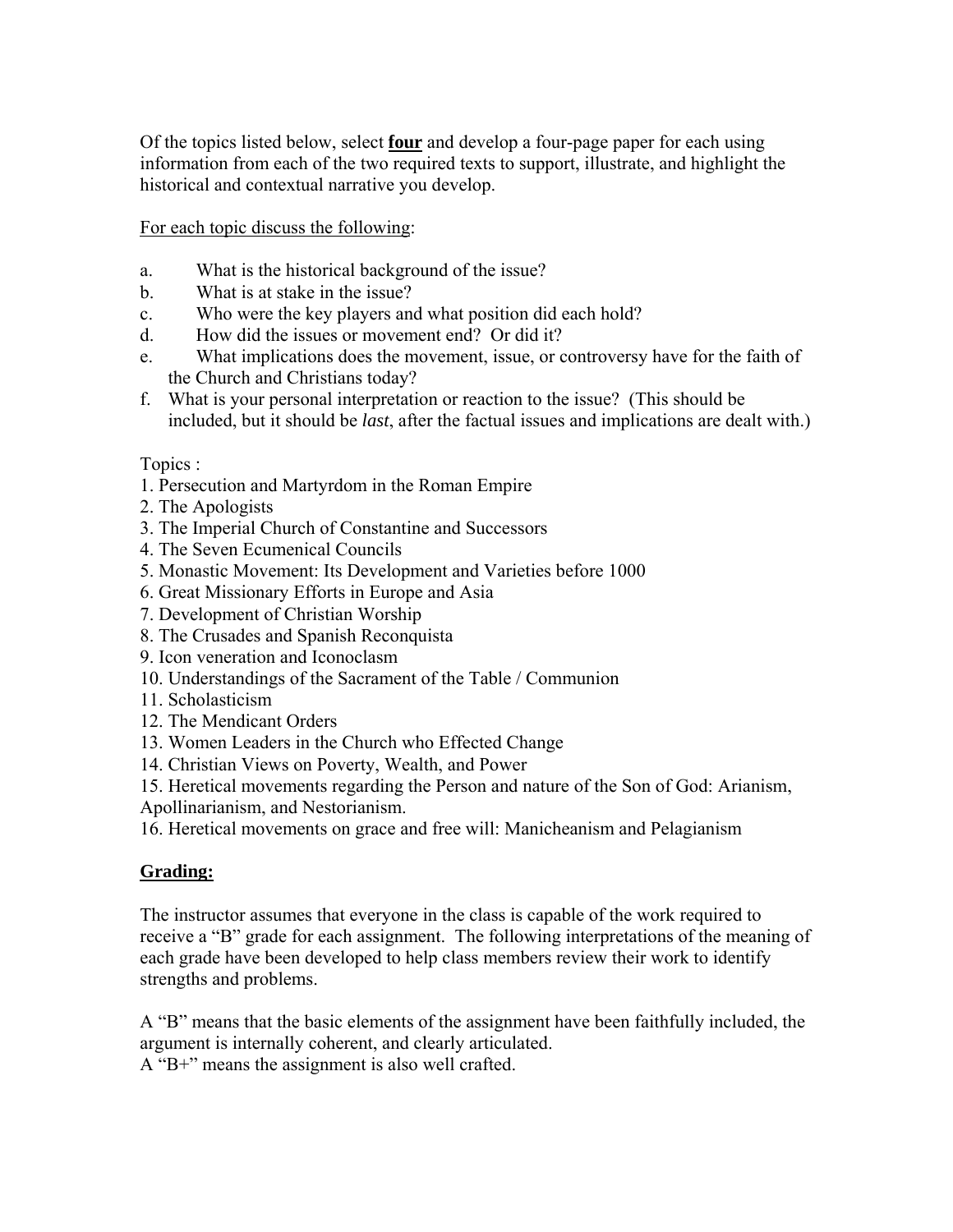Of the topics listed below, select **four** and develop a four-page paper for each using information from each of the two required texts to support, illustrate, and highlight the historical and contextual narrative you develop.

For each topic discuss the following:

- a. What is the historical background of the issue?
- b. What is at stake in the issue?
- c. Who were the key players and what position did each hold?
- d. How did the issues or movement end? Or did it?
- e. What implications does the movement, issue, or controversy have for the faith of the Church and Christians today?
- f. What is your personal interpretation or reaction to the issue? (This should be included, but it should be *last*, after the factual issues and implications are dealt with.)

## Topics :

- 1. Persecution and Martyrdom in the Roman Empire
- 2. The Apologists
- 3. The Imperial Church of Constantine and Successors
- 4. The Seven Ecumenical Councils
- 5. Monastic Movement: Its Development and Varieties before 1000
- 6. Great Missionary Efforts in Europe and Asia
- 7. Development of Christian Worship
- 8. The Crusades and Spanish Reconquista
- 9. Icon veneration and Iconoclasm
- 10. Understandings of the Sacrament of the Table / Communion
- 11. Scholasticism
- 12. The Mendicant Orders
- 13. Women Leaders in the Church who Effected Change
- 14. Christian Views on Poverty, Wealth, and Power
- 15. Heretical movements regarding the Person and nature of the Son of God: Arianism,
- Apollinarianism, and Nestorianism.
- 16. Heretical movements on grace and free will: Manicheanism and Pelagianism

# **Grading:**

The instructor assumes that everyone in the class is capable of the work required to receive a "B" grade for each assignment. The following interpretations of the meaning of each grade have been developed to help class members review their work to identify strengths and problems.

A "B" means that the basic elements of the assignment have been faithfully included, the argument is internally coherent, and clearly articulated.

A "B+" means the assignment is also well crafted.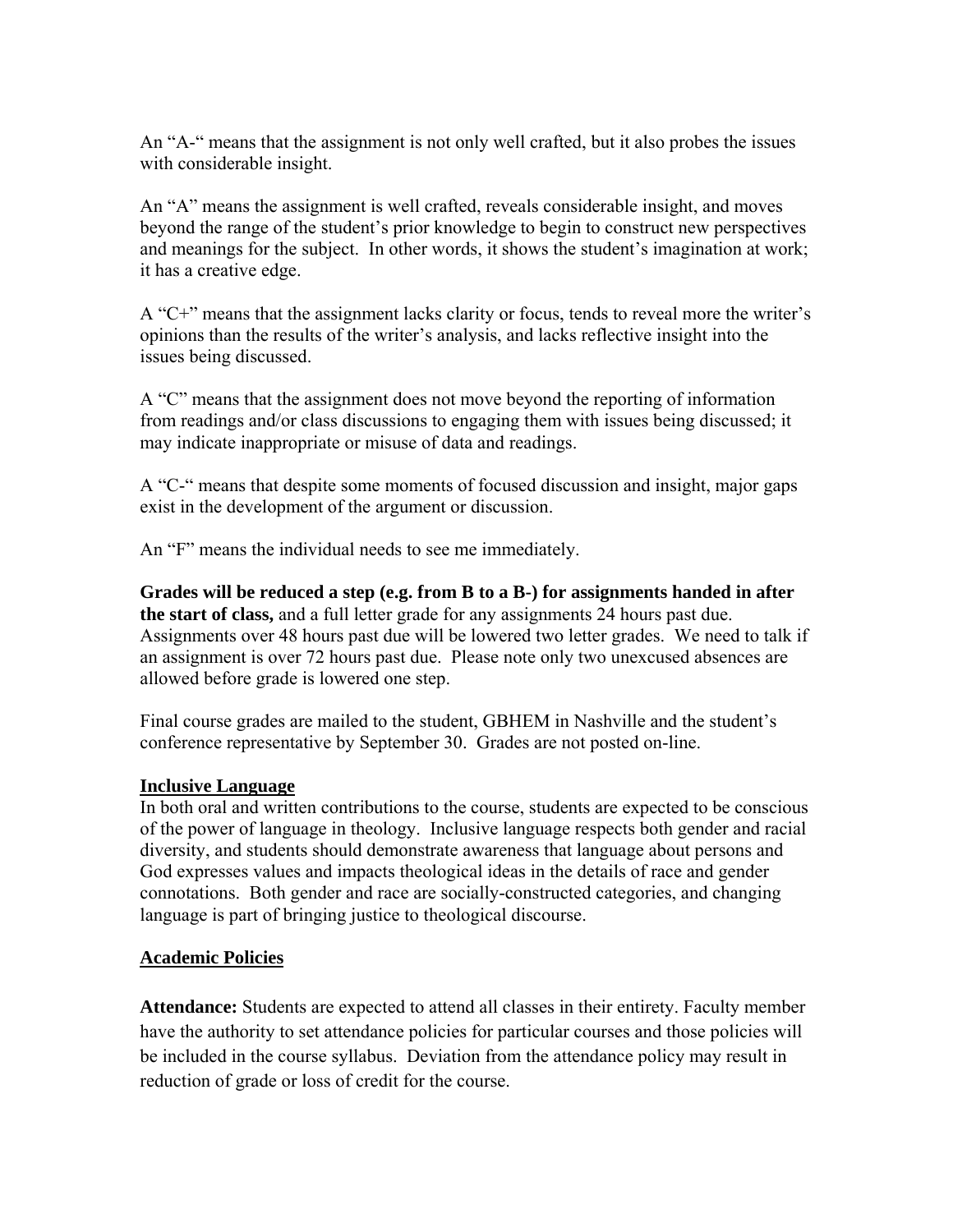An "A-" means that the assignment is not only well crafted, but it also probes the issues with considerable insight.

An "A" means the assignment is well crafted, reveals considerable insight, and moves beyond the range of the student's prior knowledge to begin to construct new perspectives and meanings for the subject. In other words, it shows the student's imagination at work; it has a creative edge.

A "C+" means that the assignment lacks clarity or focus, tends to reveal more the writer's opinions than the results of the writer's analysis, and lacks reflective insight into the issues being discussed.

A "C" means that the assignment does not move beyond the reporting of information from readings and/or class discussions to engaging them with issues being discussed; it may indicate inappropriate or misuse of data and readings.

A "C-" means that despite some moments of focused discussion and insight, major gaps exist in the development of the argument or discussion.

An "F" means the individual needs to see me immediately.

**Grades will be reduced a step (e.g. from B to a B-) for assignments handed in after the start of class,** and a full letter grade for any assignments 24 hours past due. Assignments over 48 hours past due will be lowered two letter grades. We need to talk if an assignment is over 72 hours past due. Please note only two unexcused absences are allowed before grade is lowered one step.

Final course grades are mailed to the student, GBHEM in Nashville and the student's conference representative by September 30. Grades are not posted on-line.

#### **Inclusive Language**

In both oral and written contributions to the course, students are expected to be conscious of the power of language in theology. Inclusive language respects both gender and racial diversity, and students should demonstrate awareness that language about persons and God expresses values and impacts theological ideas in the details of race and gender connotations. Both gender and race are socially-constructed categories, and changing language is part of bringing justice to theological discourse.

## **Academic Policies**

**Attendance:** Students are expected to attend all classes in their entirety. Faculty member have the authority to set attendance policies for particular courses and those policies will be included in the course syllabus. Deviation from the attendance policy may result in reduction of grade or loss of credit for the course.